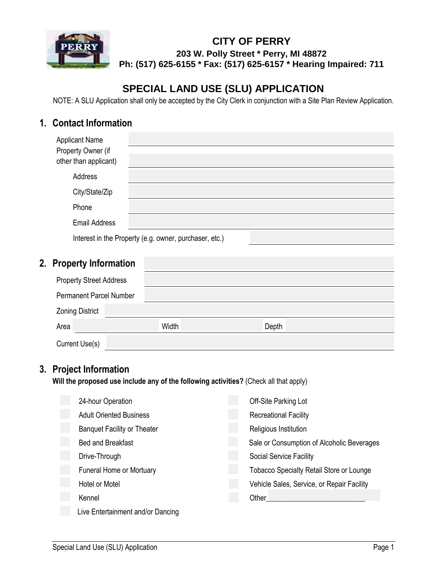

### **CITY OF PERRY 203 W. Polly Street \* Perry, MI 48872 Ph: (517) 625-6155 \* Fax: (517) 625-6157 \* Hearing Impaired: 711**

# **SPECIAL LAND USE (SLU) APPLICATION**

NOTE: A SLU Application shall only be accepted by the City Clerk in conjunction with a Site Plan Review Application.

# **1. Contact Information**

| <b>Applicant Name</b><br>Property Owner (if<br>other than applicant) |                                                        |
|----------------------------------------------------------------------|--------------------------------------------------------|
| Address                                                              |                                                        |
| City/State/Zip                                                       |                                                        |
| Phone                                                                |                                                        |
| <b>Email Address</b>                                                 |                                                        |
|                                                                      | Interest in the Property (e.g. owner, purchaser, etc.) |

# **2. Property Information**

| <b>Property Street Address</b> |       |       |  |
|--------------------------------|-------|-------|--|
| <b>Permanent Parcel Number</b> |       |       |  |
| <b>Zoning District</b>         |       |       |  |
| Area                           | Width | Depth |  |
| Current Use(s)                 |       |       |  |

## **3. Project Information**

**Will the proposed use include any of the following activities?** (Check all that apply)

| 24-hour Operation                  | Off-Site Parking Lot                            |
|------------------------------------|-------------------------------------------------|
| <b>Adult Oriented Business</b>     | <b>Recreational Facility</b>                    |
| <b>Banquet Facility or Theater</b> | Religious Institution                           |
| <b>Bed and Breakfast</b>           | Sale or Consumption of Alcoholic Beverages      |
| Drive-Through                      | Social Service Facility                         |
| Funeral Home or Mortuary           | <b>Tobacco Specialty Retail Store or Lounge</b> |
| <b>Hotel or Motel</b>              | Vehicle Sales, Service, or Repair Facility      |
| Kennel                             | Other                                           |
| Live Entertainment and/or Dancing  |                                                 |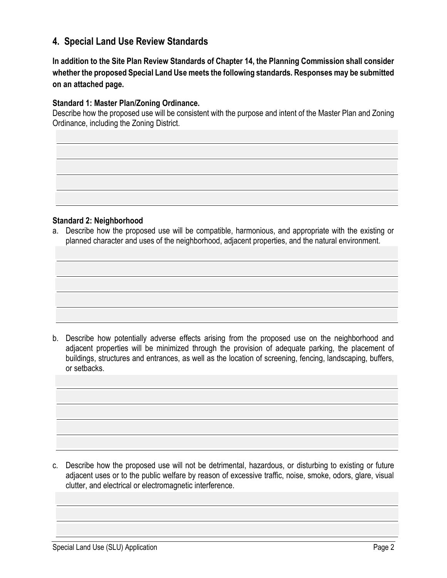## **4. Special Land Use Review Standards**

**In addition to the Site Plan Review Standards of Chapter 14, the Planning Commission shall consider whether the proposed Special Land Use meets the following standards. Responses may be submitted on an attached page.**

#### **Standard 1: Master Plan/Zoning Ordinance.**

Describe how the proposed use will be consistent with the purpose and intent of the Master Plan and Zoning Ordinance, including the Zoning District.

#### **Standard 2: Neighborhood**

a. Describe how the proposed use will be compatible, harmonious, and appropriate with the existing or planned character and uses of the neighborhood, adjacent properties, and the natural environment.

b. Describe how potentially adverse effects arising from the proposed use on the neighborhood and adjacent properties will be minimized through the provision of adequate parking, the placement of buildings, structures and entrances, as well as the location of screening, fencing, landscaping, buffers, or setbacks.

c. Describe how the proposed use will not be detrimental, hazardous, or disturbing to existing or future adjacent uses or to the public welfare by reason of excessive traffic, noise, smoke, odors, glare, visual clutter, and electrical or electromagnetic interference.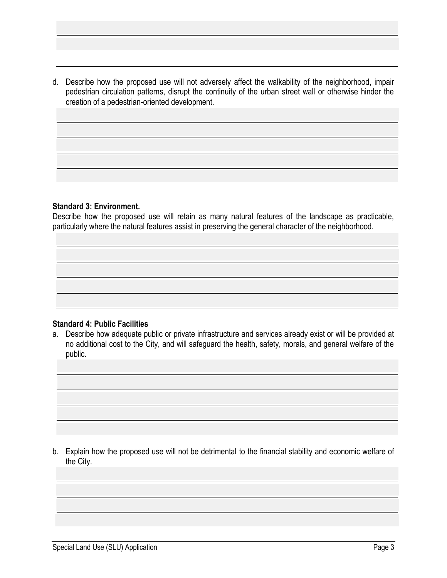d. Describe how the proposed use will not adversely affect the walkability of the neighborhood, impair pedestrian circulation patterns, disrupt the continuity of the urban street wall or otherwise hinder the creation of a pedestrian-oriented development.

#### **Standard 3: Environment.**

Describe how the proposed use will retain as many natural features of the landscape as practicable, particularly where the natural features assist in preserving the general character of the neighborhood.

#### **Standard 4: Public Facilities**

a. Describe how adequate public or private infrastructure and services already exist or will be provided at no additional cost to the City, and will safeguard the health, safety, morals, and general welfare of the public.

b. Explain how the proposed use will not be detrimental to the financial stability and economic welfare of the City.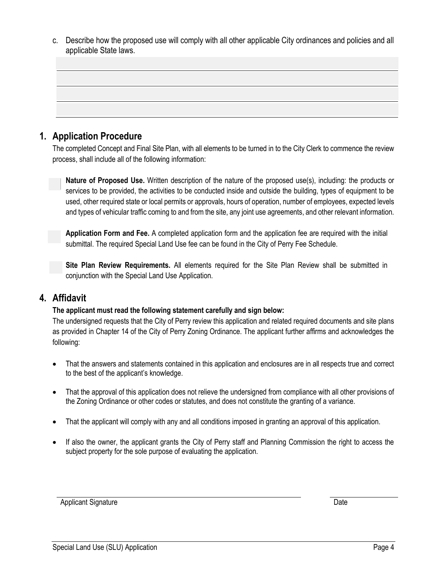c. Describe how the proposed use will comply with all other applicable City ordinances and policies and all applicable State laws.

### **1. Application Procedure**

The completed Concept and Final Site Plan, with all elements to be turned in to the City Clerk to commence the review process, shall include all of the following information:

**Nature of Proposed Use.** Written description of the nature of the proposed use(s), including: the products or services to be provided, the activities to be conducted inside and outside the building, types of equipment to be used, other required state or local permits or approvals, hours of operation, number of employees, expected levels ased, oner required state of local permits of approvals, hours of operation, hamber of employees, expected levels<br>and types of vehicular traffic coming to and from the site, any joint use agreements, and other relevant inf

Application Form and Fee. A completed application form and the application fee are required with the initial **Application** submittal. The required Special Land Use fee can be found in the City of Perry Fee Schedule.

**Site Plan Review Requirements.** All elements required for the Site Plan Review shall be submitted in conjunction with the Special Land Use Application.  $\overline{a}$ 

### **4. Affidavit**

# **The applicant must read the following statement carefully and sign below: FOR CITY OF PERRY USE ONLY:** Application No.

The undersigned requests that the City of Perry review this application and related required documents and site plans as provided in Chapter 14 of the City of Perry Zoning Ordinance. The applicant further affirms and acknowledges the<br>City following:

- That the answers and statements contained in this application and enclosures are in all respects true and correct to the best of the applicant's knowledge.
- That the approval of this application does not relieve the undersigned from compliance with all other provisions of the Zoning Ordinance or other codes or statutes, and does not constitute the granting of a variance.
- That the applicant will comply with any and all conditions imposed in granting an approval of this application.
- If also the owner, the applicant grants the City of Perry staff and Planning Commission the right to access the subject property for the sole purpose of evaluating the application.

Applicant Signature Date